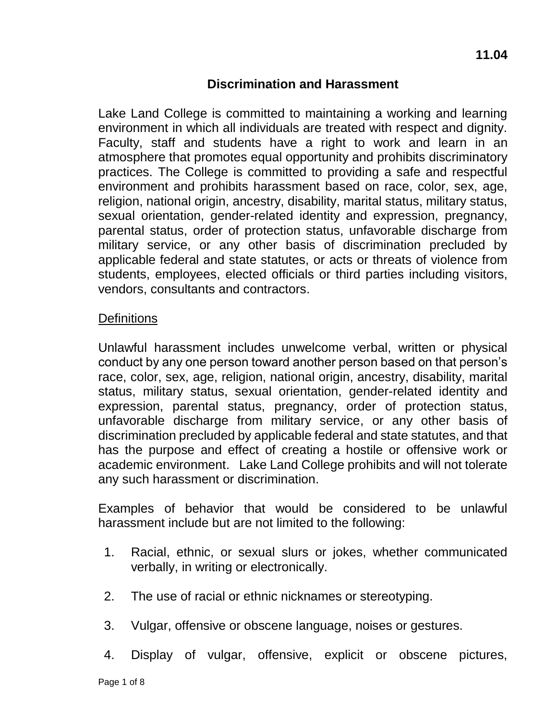# **Discrimination and Harassment**

Lake Land College is committed to maintaining a working and learning environment in which all individuals are treated with respect and dignity. Faculty, staff and students have a right to work and learn in an atmosphere that promotes equal opportunity and prohibits discriminatory practices. The College is committed to providing a safe and respectful environment and prohibits harassment based on race, color, sex, age, religion, national origin, ancestry, disability, marital status, military status, sexual orientation, gender-related identity and expression, pregnancy, parental status, order of protection status, unfavorable discharge from military service, or any other basis of discrimination precluded by applicable federal and state statutes, or acts or threats of violence from students, employees, elected officials or third parties including visitors, vendors, consultants and contractors.

#### **Definitions**

Unlawful harassment includes unwelcome verbal, written or physical conduct by any one person toward another person based on that person's race, color, sex, age, religion, national origin, ancestry, disability, marital status, military status, sexual orientation, gender-related identity and expression, parental status, pregnancy, order of protection status, unfavorable discharge from military service, or any other basis of discrimination precluded by applicable federal and state statutes, and that has the purpose and effect of creating a hostile or offensive work or academic environment. Lake Land College prohibits and will not tolerate any such harassment or discrimination.

Examples of behavior that would be considered to be unlawful harassment include but are not limited to the following:

- 1. Racial, ethnic, or sexual slurs or jokes, whether communicated verbally, in writing or electronically.
- 2. The use of racial or ethnic nicknames or stereotyping.
- 3. Vulgar, offensive or obscene language, noises or gestures.
- 4. Display of vulgar, offensive, explicit or obscene pictures,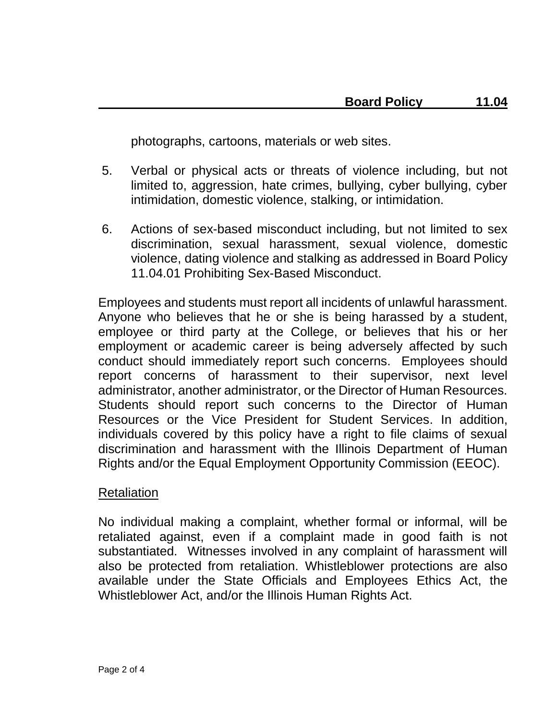photographs, cartoons, materials or web sites.

- 5. Verbal or physical acts or threats of violence including, but not limited to, aggression, hate crimes, bullying, cyber bullying, cyber intimidation, domestic violence, stalking, or intimidation.
- 6. Actions of sex-based misconduct including, but not limited to sex discrimination, sexual harassment, sexual violence, domestic violence, dating violence and stalking as addressed in Board Policy 11.04.01 Prohibiting Sex-Based Misconduct.

Employees and students must report all incidents of unlawful harassment. Anyone who believes that he or she is being harassed by a student, employee or third party at the College, or believes that his or her employment or academic career is being adversely affected by such conduct should immediately report such concerns. Employees should report concerns of harassment to their supervisor, next level administrator, another administrator, or the Director of Human Resources. Students should report such concerns to the Director of Human Resources or the Vice President for Student Services. In addition, individuals covered by this policy have a right to file claims of sexual discrimination and harassment with the Illinois Department of Human Rights and/or the Equal Employment Opportunity Commission (EEOC).

## Retaliation

No individual making a complaint, whether formal or informal, will be retaliated against, even if a complaint made in good faith is not substantiated. Witnesses involved in any complaint of harassment will also be protected from retaliation. Whistleblower protections are also available under the State Officials and Employees Ethics Act, the Whistleblower Act, and/or the Illinois Human Rights Act.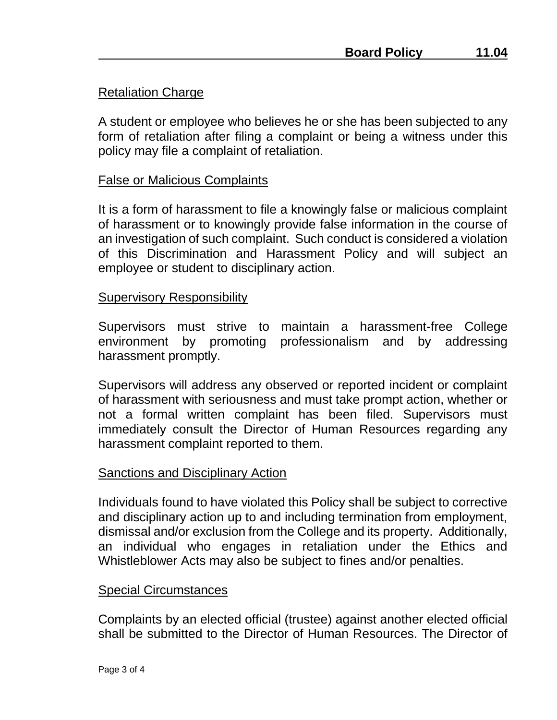A student or employee who believes he or she has been subjected to any form of retaliation after filing a complaint or being a witness under this policy may file a complaint of retaliation.

## False or Malicious Complaints

It is a form of harassment to file a knowingly false or malicious complaint of harassment or to knowingly provide false information in the course of an investigation of such complaint. Such conduct is considered a violation of this Discrimination and Harassment Policy and will subject an employee or student to disciplinary action.

## Supervisory Responsibility

Supervisors must strive to maintain a harassment-free College environment by promoting professionalism and by addressing harassment promptly.

Supervisors will address any observed or reported incident or complaint of harassment with seriousness and must take prompt action, whether or not a formal written complaint has been filed. Supervisors must immediately consult the Director of Human Resources regarding any harassment complaint reported to them.

## Sanctions and Disciplinary Action

Individuals found to have violated this Policy shall be subject to corrective and disciplinary action up to and including termination from employment, dismissal and/or exclusion from the College and its property. Additionally, an individual who engages in retaliation under the Ethics and Whistleblower Acts may also be subject to fines and/or penalties.

#### Special Circumstances

Complaints by an elected official (trustee) against another elected official shall be submitted to the Director of Human Resources. The Director of